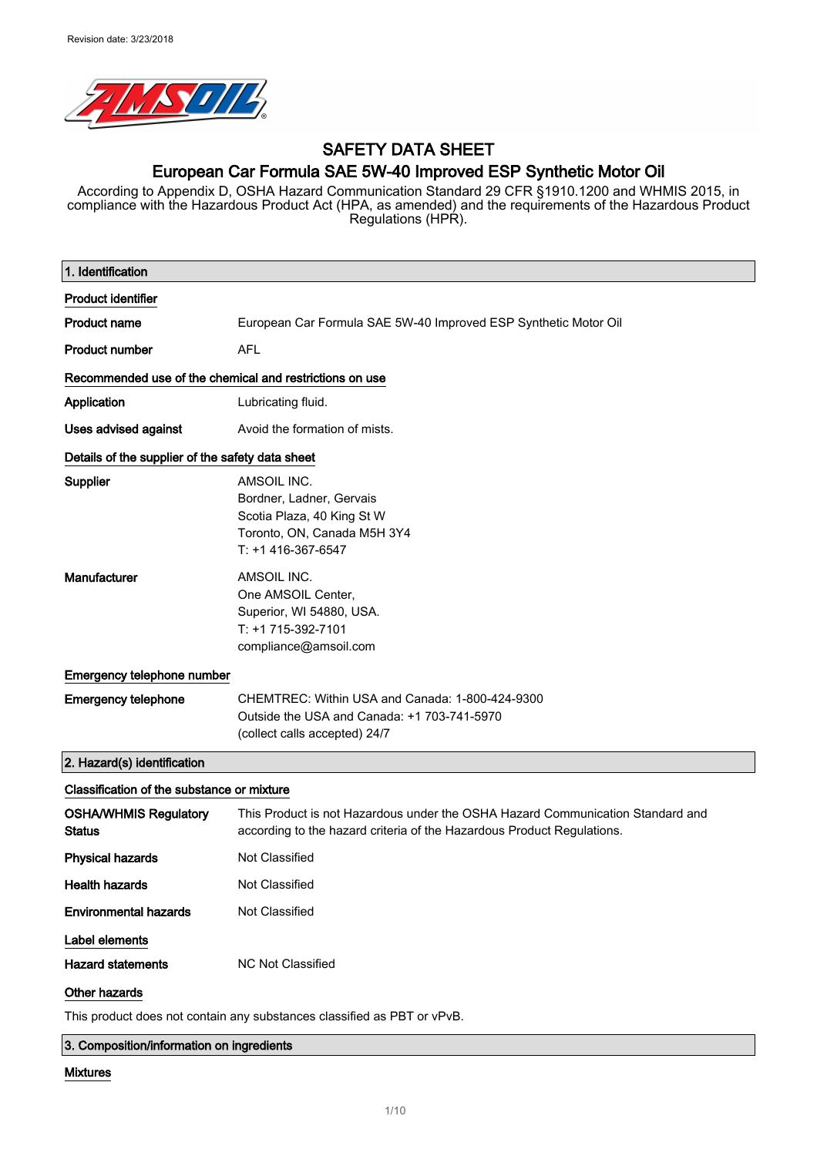

# SAFETY DATA SHEET European Car Formula SAE 5W-40 Improved ESP Synthetic Motor Oil

According to Appendix D, OSHA Hazard Communication Standard 29 CFR §1910.1200 and WHMIS 2015, in compliance with the Hazardous Product Act (HPA, as amended) and the requirements of the Hazardous Product Regulations (HPR).

| 1. Identification                                       |                                                                                                                                                          |
|---------------------------------------------------------|----------------------------------------------------------------------------------------------------------------------------------------------------------|
| <b>Product identifier</b>                               |                                                                                                                                                          |
| <b>Product name</b>                                     | European Car Formula SAE 5W-40 Improved ESP Synthetic Motor Oil                                                                                          |
| <b>Product number</b>                                   | <b>AFL</b>                                                                                                                                               |
| Recommended use of the chemical and restrictions on use |                                                                                                                                                          |
| Application                                             | Lubricating fluid.                                                                                                                                       |
| <b>Uses advised against</b>                             | Avoid the formation of mists.                                                                                                                            |
| Details of the supplier of the safety data sheet        |                                                                                                                                                          |
| Supplier                                                | AMSOIL INC.<br>Bordner, Ladner, Gervais<br>Scotia Plaza, 40 King St W<br>Toronto, ON, Canada M5H 3Y4<br>T: +1 416-367-6547                               |
| Manufacturer                                            | AMSOIL INC.<br>One AMSOIL Center,<br>Superior, WI 54880, USA.<br>T: +1 715-392-7101<br>compliance@amsoil.com                                             |
| Emergency telephone number                              |                                                                                                                                                          |
| <b>Emergency telephone</b>                              | CHEMTREC: Within USA and Canada: 1-800-424-9300<br>Outside the USA and Canada: +1 703-741-5970<br>(collect calls accepted) 24/7                          |
| 2. Hazard(s) identification                             |                                                                                                                                                          |
| Classification of the substance or mixture              |                                                                                                                                                          |
| <b>OSHA/WHMIS Regulatory</b><br><b>Status</b>           | This Product is not Hazardous under the OSHA Hazard Communication Standard and<br>according to the hazard criteria of the Hazardous Product Regulations. |
| <b>Physical hazards</b>                                 | Not Classified                                                                                                                                           |
| <b>Health hazards</b>                                   | Not Classified                                                                                                                                           |
| <b>Environmental hazards</b>                            | Not Classified                                                                                                                                           |
| Label elements                                          |                                                                                                                                                          |
| <b>Hazard statements</b>                                | <b>NC Not Classified</b>                                                                                                                                 |
| Other hazards                                           |                                                                                                                                                          |
|                                                         | This product does not contain any substances classified as PBT or vPvB.                                                                                  |

3. Composition/information on ingredients

#### Mixtures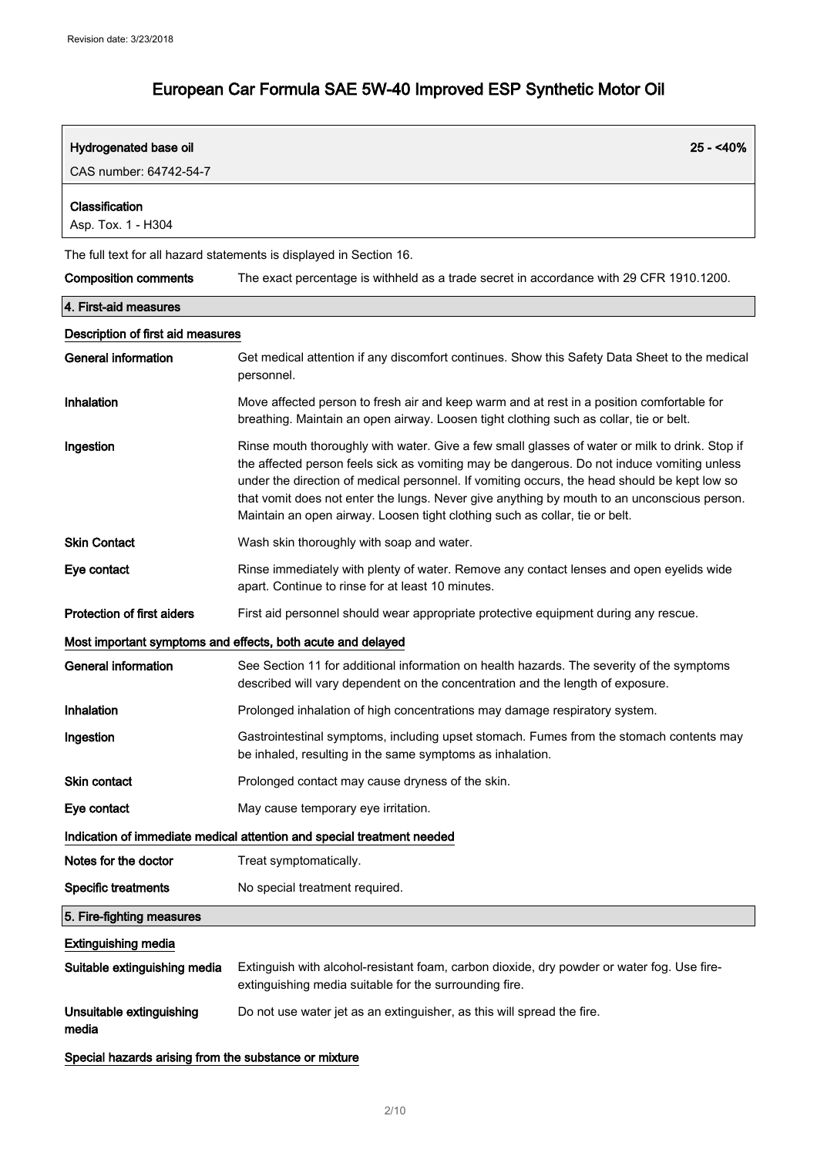| Hydrogenated base oil                                 | $25 - 40%$                                                                                                                                                                                                                                                                                                                                                                                                                                                                 |
|-------------------------------------------------------|----------------------------------------------------------------------------------------------------------------------------------------------------------------------------------------------------------------------------------------------------------------------------------------------------------------------------------------------------------------------------------------------------------------------------------------------------------------------------|
| CAS number: 64742-54-7                                |                                                                                                                                                                                                                                                                                                                                                                                                                                                                            |
| Classification<br>Asp. Tox. 1 - H304                  |                                                                                                                                                                                                                                                                                                                                                                                                                                                                            |
|                                                       | The full text for all hazard statements is displayed in Section 16.                                                                                                                                                                                                                                                                                                                                                                                                        |
| <b>Composition comments</b>                           | The exact percentage is withheld as a trade secret in accordance with 29 CFR 1910.1200.                                                                                                                                                                                                                                                                                                                                                                                    |
| 4. First-aid measures                                 |                                                                                                                                                                                                                                                                                                                                                                                                                                                                            |
| Description of first aid measures                     |                                                                                                                                                                                                                                                                                                                                                                                                                                                                            |
| <b>General information</b>                            | Get medical attention if any discomfort continues. Show this Safety Data Sheet to the medical<br>personnel.                                                                                                                                                                                                                                                                                                                                                                |
| Inhalation                                            | Move affected person to fresh air and keep warm and at rest in a position comfortable for<br>breathing. Maintain an open airway. Loosen tight clothing such as collar, tie or belt.                                                                                                                                                                                                                                                                                        |
| Ingestion                                             | Rinse mouth thoroughly with water. Give a few small glasses of water or milk to drink. Stop if<br>the affected person feels sick as vomiting may be dangerous. Do not induce vomiting unless<br>under the direction of medical personnel. If vomiting occurs, the head should be kept low so<br>that vomit does not enter the lungs. Never give anything by mouth to an unconscious person.<br>Maintain an open airway. Loosen tight clothing such as collar, tie or belt. |
| <b>Skin Contact</b>                                   | Wash skin thoroughly with soap and water.                                                                                                                                                                                                                                                                                                                                                                                                                                  |
| Eye contact                                           | Rinse immediately with plenty of water. Remove any contact lenses and open eyelids wide<br>apart. Continue to rinse for at least 10 minutes.                                                                                                                                                                                                                                                                                                                               |
| <b>Protection of first aiders</b>                     | First aid personnel should wear appropriate protective equipment during any rescue.                                                                                                                                                                                                                                                                                                                                                                                        |
|                                                       | Most important symptoms and effects, both acute and delayed                                                                                                                                                                                                                                                                                                                                                                                                                |
| <b>General information</b>                            | See Section 11 for additional information on health hazards. The severity of the symptoms<br>described will vary dependent on the concentration and the length of exposure.                                                                                                                                                                                                                                                                                                |
| Inhalation                                            | Prolonged inhalation of high concentrations may damage respiratory system.                                                                                                                                                                                                                                                                                                                                                                                                 |
| Ingestion                                             | Gastrointestinal symptoms, including upset stomach. Fumes from the stomach contents may<br>be inhaled, resulting in the same symptoms as inhalation.                                                                                                                                                                                                                                                                                                                       |
| <b>Skin contact</b>                                   | Prolonged contact may cause dryness of the skin.                                                                                                                                                                                                                                                                                                                                                                                                                           |
| Eye contact                                           | May cause temporary eye irritation.                                                                                                                                                                                                                                                                                                                                                                                                                                        |
|                                                       | Indication of immediate medical attention and special treatment needed                                                                                                                                                                                                                                                                                                                                                                                                     |
| Notes for the doctor                                  | Treat symptomatically.                                                                                                                                                                                                                                                                                                                                                                                                                                                     |
| <b>Specific treatments</b>                            | No special treatment required.                                                                                                                                                                                                                                                                                                                                                                                                                                             |
| 5. Fire-fighting measures                             |                                                                                                                                                                                                                                                                                                                                                                                                                                                                            |
| <b>Extinguishing media</b>                            |                                                                                                                                                                                                                                                                                                                                                                                                                                                                            |
| Suitable extinguishing media                          | Extinguish with alcohol-resistant foam, carbon dioxide, dry powder or water fog. Use fire-<br>extinguishing media suitable for the surrounding fire.                                                                                                                                                                                                                                                                                                                       |
| Unsuitable extinguishing<br>media                     | Do not use water jet as an extinguisher, as this will spread the fire.                                                                                                                                                                                                                                                                                                                                                                                                     |
| Special hazards arising from the substance or mixture |                                                                                                                                                                                                                                                                                                                                                                                                                                                                            |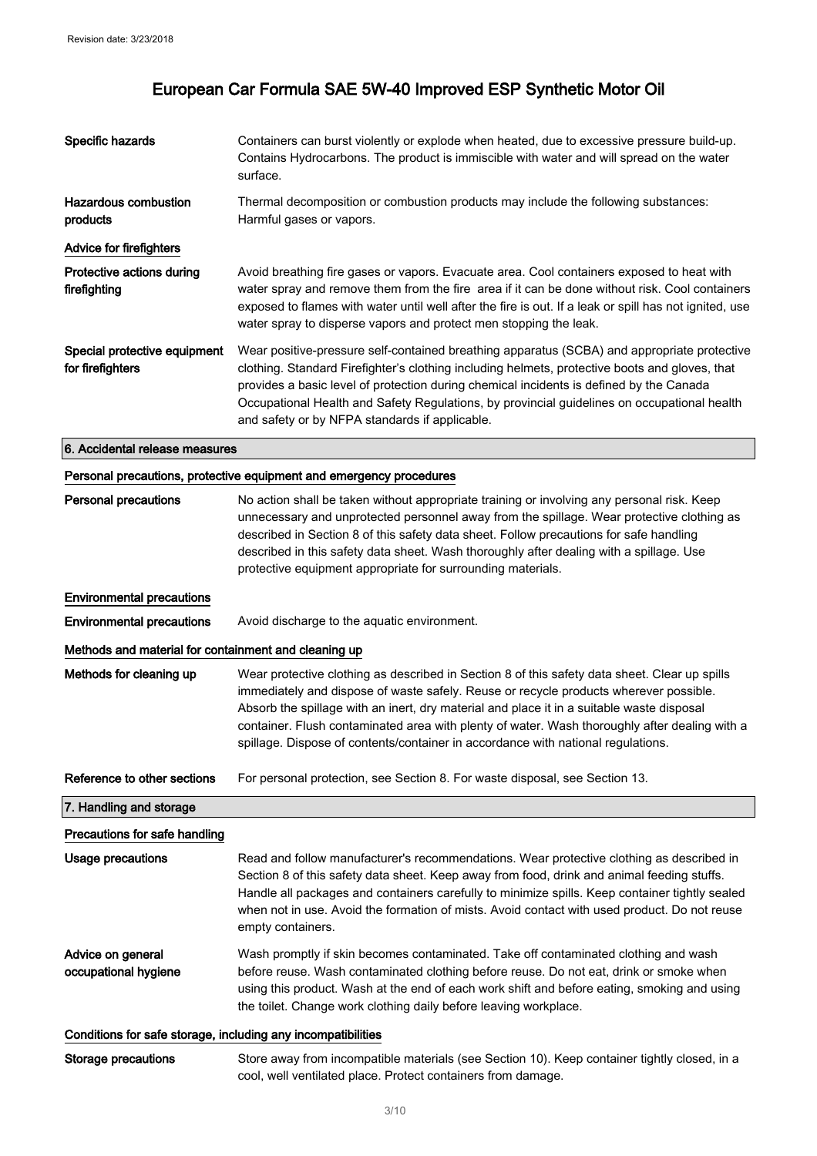| Specific hazards                                     | Containers can burst violently or explode when heated, due to excessive pressure build-up.<br>Contains Hydrocarbons. The product is immiscible with water and will spread on the water<br>surface.                                                                                                                                                                                                                                                                       |
|------------------------------------------------------|--------------------------------------------------------------------------------------------------------------------------------------------------------------------------------------------------------------------------------------------------------------------------------------------------------------------------------------------------------------------------------------------------------------------------------------------------------------------------|
| <b>Hazardous combustion</b><br>products              | Thermal decomposition or combustion products may include the following substances:<br>Harmful gases or vapors.                                                                                                                                                                                                                                                                                                                                                           |
| <b>Advice for firefighters</b>                       |                                                                                                                                                                                                                                                                                                                                                                                                                                                                          |
| Protective actions during<br>firefighting            | Avoid breathing fire gases or vapors. Evacuate area. Cool containers exposed to heat with<br>water spray and remove them from the fire area if it can be done without risk. Cool containers<br>exposed to flames with water until well after the fire is out. If a leak or spill has not ignited, use<br>water spray to disperse vapors and protect men stopping the leak.                                                                                               |
| Special protective equipment<br>for firefighters     | Wear positive-pressure self-contained breathing apparatus (SCBA) and appropriate protective<br>clothing. Standard Firefighter's clothing including helmets, protective boots and gloves, that<br>provides a basic level of protection during chemical incidents is defined by the Canada<br>Occupational Health and Safety Regulations, by provincial guidelines on occupational health<br>and safety or by NFPA standards if applicable.                                |
| 6. Accidental release measures                       |                                                                                                                                                                                                                                                                                                                                                                                                                                                                          |
|                                                      | Personal precautions, protective equipment and emergency procedures                                                                                                                                                                                                                                                                                                                                                                                                      |
| <b>Personal precautions</b>                          | No action shall be taken without appropriate training or involving any personal risk. Keep<br>unnecessary and unprotected personnel away from the spillage. Wear protective clothing as<br>described in Section 8 of this safety data sheet. Follow precautions for safe handling<br>described in this safety data sheet. Wash thoroughly after dealing with a spillage. Use<br>protective equipment appropriate for surrounding materials.                              |
| <b>Environmental precautions</b>                     |                                                                                                                                                                                                                                                                                                                                                                                                                                                                          |
| <b>Environmental precautions</b>                     | Avoid discharge to the aquatic environment.                                                                                                                                                                                                                                                                                                                                                                                                                              |
| Methods and material for containment and cleaning up |                                                                                                                                                                                                                                                                                                                                                                                                                                                                          |
| Methods for cleaning up                              | Wear protective clothing as described in Section 8 of this safety data sheet. Clear up spills<br>immediately and dispose of waste safely. Reuse or recycle products wherever possible.<br>Absorb the spillage with an inert, dry material and place it in a suitable waste disposal<br>container. Flush contaminated area with plenty of water. Wash thoroughly after dealing with a<br>spillage. Dispose of contents/container in accordance with national regulations. |
| Reference to other sections                          | For personal protection, see Section 8. For waste disposal, see Section 13.                                                                                                                                                                                                                                                                                                                                                                                              |
| 7. Handling and storage                              |                                                                                                                                                                                                                                                                                                                                                                                                                                                                          |
| Precautions for safe handling                        |                                                                                                                                                                                                                                                                                                                                                                                                                                                                          |
| <b>Usage precautions</b>                             | Read and follow manufacturer's recommendations. Wear protective clothing as described in<br>Section 8 of this safety data sheet. Keep away from food, drink and animal feeding stuffs.<br>Handle all packages and containers carefully to minimize spills. Keep container tightly sealed<br>when not in use. Avoid the formation of mists. Avoid contact with used product. Do not reuse<br>empty containers.                                                            |
| Advice on general<br>occupational hygiene            | Wash promptly if skin becomes contaminated. Take off contaminated clothing and wash<br>before reuse. Wash contaminated clothing before reuse. Do not eat, drink or smoke when<br>using this product. Wash at the end of each work shift and before eating, smoking and using                                                                                                                                                                                             |

# the toilet. Change work clothing daily before leaving workplace. Conditions for safe storage, including any incompatibilities

Storage precautions Store away from incompatible materials (see Section 10). Keep container tightly closed, in a cool, well ventilated place. Protect containers from damage.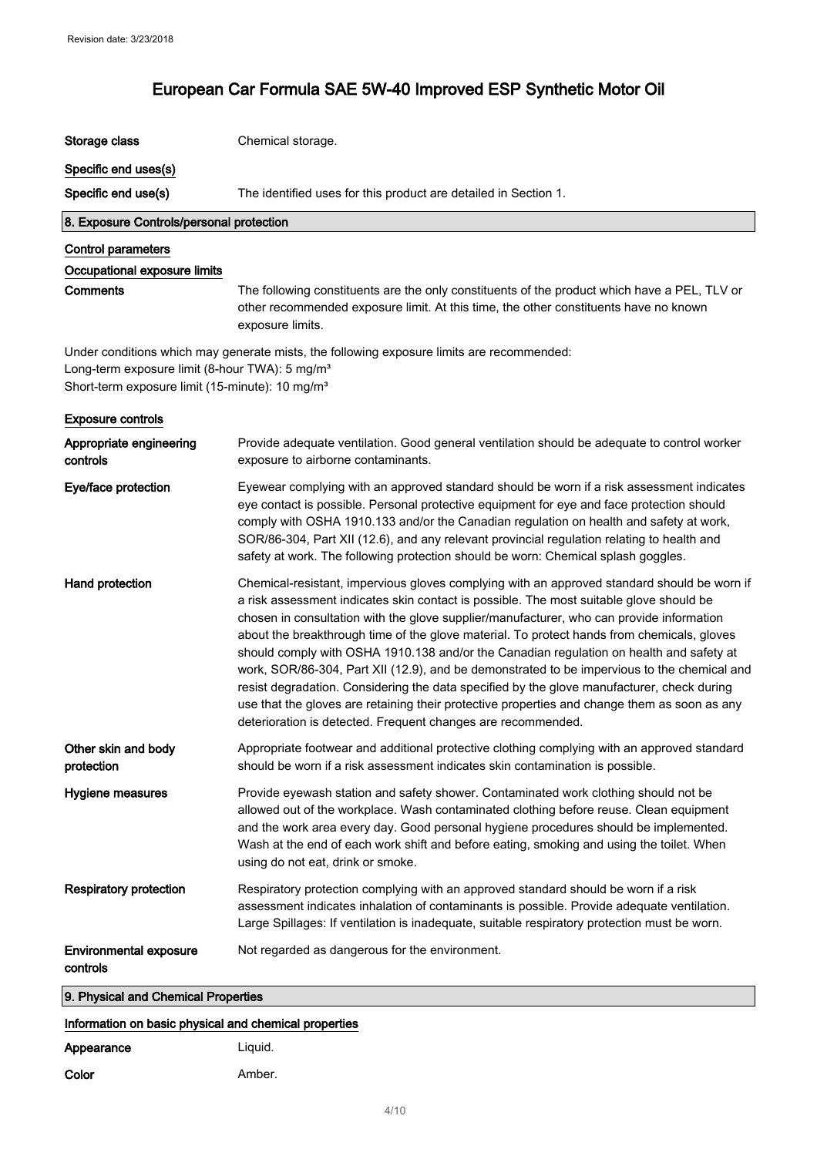| Storage class                                                                                                             | Chemical storage.                                                                                                                                                                                                                                                                                                                                                                                                                                                                                                                                                                                                                                                                                                                                                                                                                        |
|---------------------------------------------------------------------------------------------------------------------------|------------------------------------------------------------------------------------------------------------------------------------------------------------------------------------------------------------------------------------------------------------------------------------------------------------------------------------------------------------------------------------------------------------------------------------------------------------------------------------------------------------------------------------------------------------------------------------------------------------------------------------------------------------------------------------------------------------------------------------------------------------------------------------------------------------------------------------------|
| Specific end uses(s)                                                                                                      |                                                                                                                                                                                                                                                                                                                                                                                                                                                                                                                                                                                                                                                                                                                                                                                                                                          |
| Specific end use(s)                                                                                                       | The identified uses for this product are detailed in Section 1.                                                                                                                                                                                                                                                                                                                                                                                                                                                                                                                                                                                                                                                                                                                                                                          |
| 8. Exposure Controls/personal protection                                                                                  |                                                                                                                                                                                                                                                                                                                                                                                                                                                                                                                                                                                                                                                                                                                                                                                                                                          |
| <b>Control parameters</b>                                                                                                 |                                                                                                                                                                                                                                                                                                                                                                                                                                                                                                                                                                                                                                                                                                                                                                                                                                          |
| Occupational exposure limits                                                                                              |                                                                                                                                                                                                                                                                                                                                                                                                                                                                                                                                                                                                                                                                                                                                                                                                                                          |
| <b>Comments</b>                                                                                                           | The following constituents are the only constituents of the product which have a PEL, TLV or<br>other recommended exposure limit. At this time, the other constituents have no known<br>exposure limits.                                                                                                                                                                                                                                                                                                                                                                                                                                                                                                                                                                                                                                 |
| Long-term exposure limit (8-hour TWA): 5 mg/m <sup>3</sup><br>Short-term exposure limit (15-minute): 10 mg/m <sup>3</sup> | Under conditions which may generate mists, the following exposure limits are recommended:                                                                                                                                                                                                                                                                                                                                                                                                                                                                                                                                                                                                                                                                                                                                                |
| <b>Exposure controls</b>                                                                                                  |                                                                                                                                                                                                                                                                                                                                                                                                                                                                                                                                                                                                                                                                                                                                                                                                                                          |
| Appropriate engineering<br>controls                                                                                       | Provide adequate ventilation. Good general ventilation should be adequate to control worker<br>exposure to airborne contaminants.                                                                                                                                                                                                                                                                                                                                                                                                                                                                                                                                                                                                                                                                                                        |
| Eye/face protection                                                                                                       | Eyewear complying with an approved standard should be worn if a risk assessment indicates<br>eye contact is possible. Personal protective equipment for eye and face protection should<br>comply with OSHA 1910.133 and/or the Canadian regulation on health and safety at work,<br>SOR/86-304, Part XII (12.6), and any relevant provincial regulation relating to health and<br>safety at work. The following protection should be worn: Chemical splash goggles.                                                                                                                                                                                                                                                                                                                                                                      |
| Hand protection                                                                                                           | Chemical-resistant, impervious gloves complying with an approved standard should be worn if<br>a risk assessment indicates skin contact is possible. The most suitable glove should be<br>chosen in consultation with the glove supplier/manufacturer, who can provide information<br>about the breakthrough time of the glove material. To protect hands from chemicals, gloves<br>should comply with OSHA 1910.138 and/or the Canadian regulation on health and safety at<br>work, SOR/86-304, Part XII (12.9), and be demonstrated to be impervious to the chemical and<br>resist degradation. Considering the data specified by the glove manufacturer, check during<br>use that the gloves are retaining their protective properties and change them as soon as any<br>deterioration is detected. Frequent changes are recommended. |
| Other skin and body<br>protection                                                                                         | Appropriate footwear and additional protective clothing complying with an approved standard<br>should be worn if a risk assessment indicates skin contamination is possible.                                                                                                                                                                                                                                                                                                                                                                                                                                                                                                                                                                                                                                                             |
| Hygiene measures                                                                                                          | Provide eyewash station and safety shower. Contaminated work clothing should not be<br>allowed out of the workplace. Wash contaminated clothing before reuse. Clean equipment<br>and the work area every day. Good personal hygiene procedures should be implemented.<br>Wash at the end of each work shift and before eating, smoking and using the toilet. When<br>using do not eat, drink or smoke.                                                                                                                                                                                                                                                                                                                                                                                                                                   |
| <b>Respiratory protection</b>                                                                                             | Respiratory protection complying with an approved standard should be worn if a risk<br>assessment indicates inhalation of contaminants is possible. Provide adequate ventilation.<br>Large Spillages: If ventilation is inadequate, suitable respiratory protection must be worn.                                                                                                                                                                                                                                                                                                                                                                                                                                                                                                                                                        |
| <b>Environmental exposure</b><br>controls                                                                                 | Not regarded as dangerous for the environment.                                                                                                                                                                                                                                                                                                                                                                                                                                                                                                                                                                                                                                                                                                                                                                                           |
| 9. Physical and Chemical Properties                                                                                       |                                                                                                                                                                                                                                                                                                                                                                                                                                                                                                                                                                                                                                                                                                                                                                                                                                          |

Information on basic physical and chemical properties

| Appearance | Liguid. |
|------------|---------|
| Color      | Amber.  |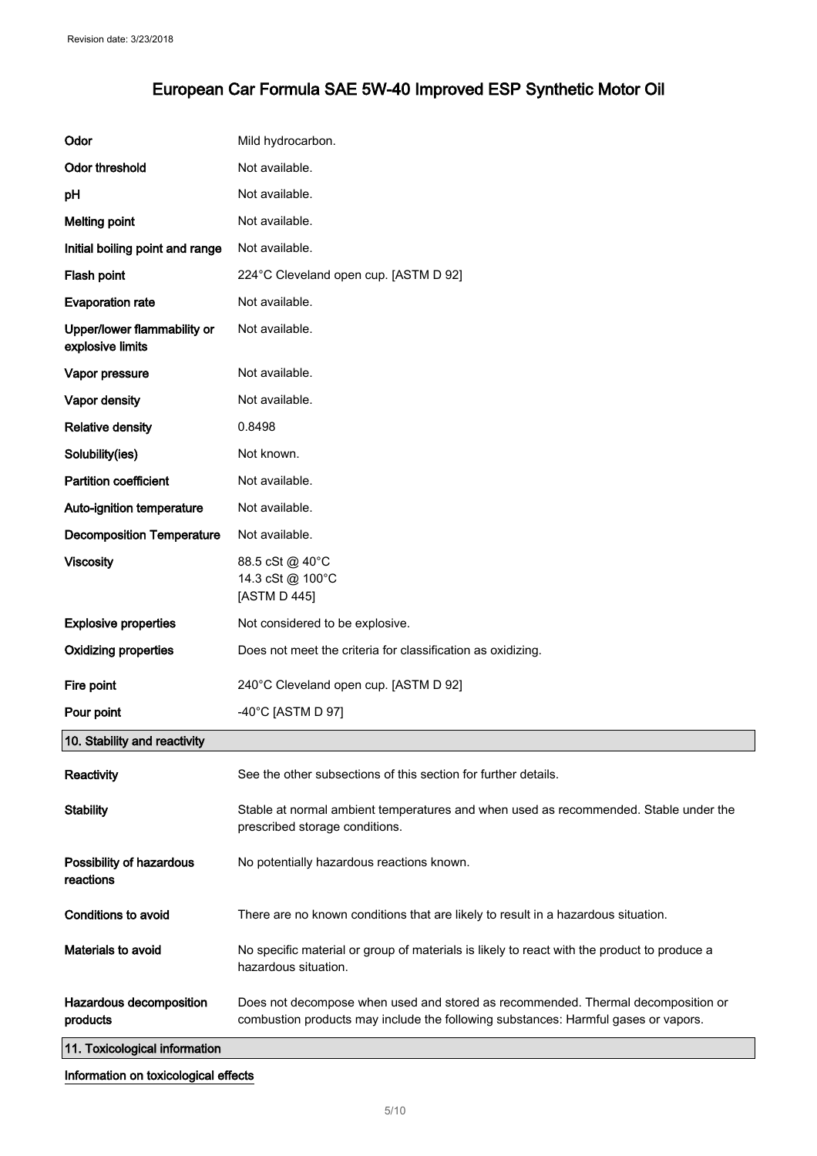| Odor                                            | Mild hydrocarbon.                                                                                                                                                      |
|-------------------------------------------------|------------------------------------------------------------------------------------------------------------------------------------------------------------------------|
| Odor threshold                                  | Not available.                                                                                                                                                         |
| pH                                              | Not available.                                                                                                                                                         |
| <b>Melting point</b>                            | Not available.                                                                                                                                                         |
| Initial boiling point and range                 | Not available.                                                                                                                                                         |
| Flash point                                     | 224°C Cleveland open cup. [ASTM D 92]                                                                                                                                  |
| <b>Evaporation rate</b>                         | Not available.                                                                                                                                                         |
| Upper/lower flammability or<br>explosive limits | Not available.                                                                                                                                                         |
| Vapor pressure                                  | Not available.                                                                                                                                                         |
| Vapor density                                   | Not available.                                                                                                                                                         |
| <b>Relative density</b>                         | 0.8498                                                                                                                                                                 |
| Solubility(ies)                                 | Not known.                                                                                                                                                             |
| <b>Partition coefficient</b>                    | Not available.                                                                                                                                                         |
| Auto-ignition temperature                       | Not available.                                                                                                                                                         |
| <b>Decomposition Temperature</b>                | Not available.                                                                                                                                                         |
| <b>Viscosity</b>                                | 88.5 cSt @ 40°C<br>14.3 cSt @ 100°C<br>[ASTM D 445]                                                                                                                    |
| <b>Explosive properties</b>                     | Not considered to be explosive.                                                                                                                                        |
| <b>Oxidizing properties</b>                     | Does not meet the criteria for classification as oxidizing.                                                                                                            |
| Fire point                                      | 240°C Cleveland open cup. [ASTM D 92]                                                                                                                                  |
| Pour point                                      | -40°C [ASTM D 97]                                                                                                                                                      |
| 10. Stability and reactivity                    |                                                                                                                                                                        |
| Reactivity                                      | See the other subsections of this section for further details.                                                                                                         |
| <b>Stability</b>                                | Stable at normal ambient temperatures and when used as recommended. Stable under the<br>prescribed storage conditions.                                                 |
| Possibility of hazardous<br>reactions           | No potentially hazardous reactions known.                                                                                                                              |
| Conditions to avoid                             | There are no known conditions that are likely to result in a hazardous situation.                                                                                      |
| Materials to avoid                              | No specific material or group of materials is likely to react with the product to produce a<br>hazardous situation.                                                    |
| Hazardous decomposition<br>products             | Does not decompose when used and stored as recommended. Thermal decomposition or<br>combustion products may include the following substances: Harmful gases or vapors. |
| 11. Toxicological information                   |                                                                                                                                                                        |

#### Information on toxicological effects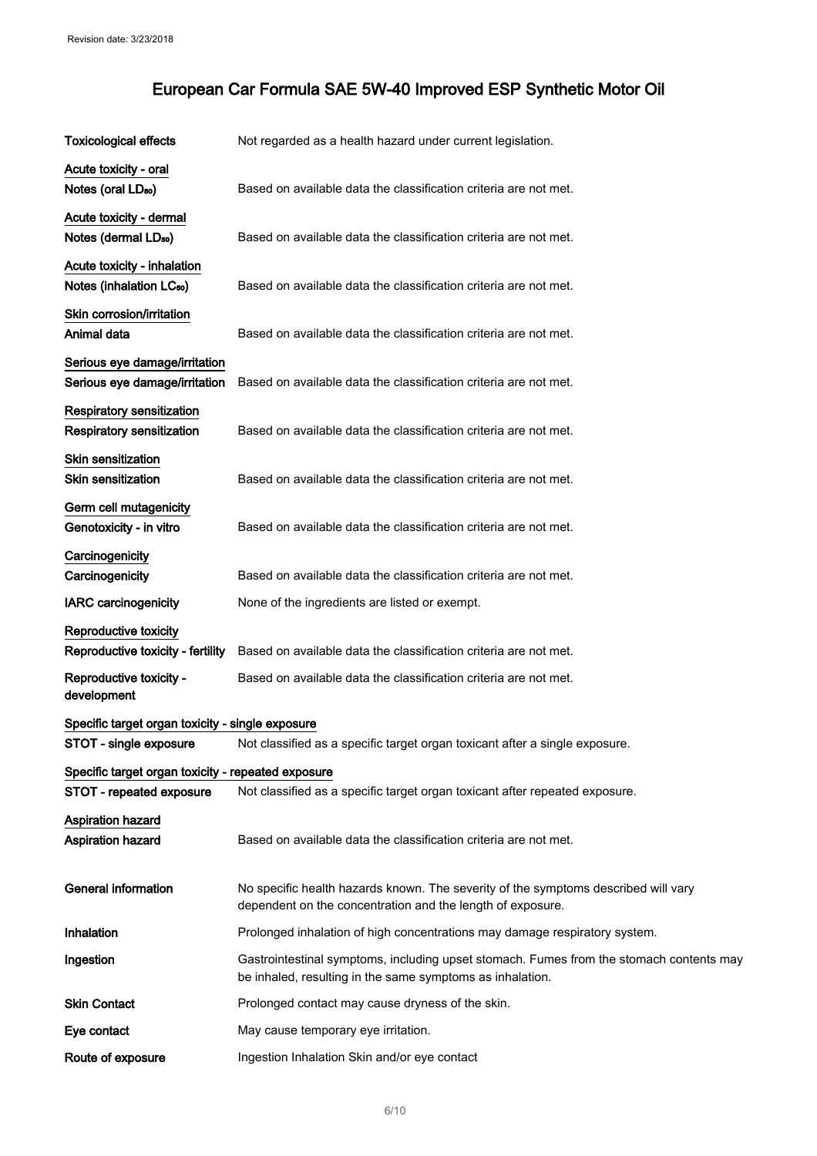| <b>Toxicological effects</b>                       | Not regarded as a health hazard under current legislation.                                                                                           |
|----------------------------------------------------|------------------------------------------------------------------------------------------------------------------------------------------------------|
| Acute toxicity - oral                              |                                                                                                                                                      |
| Notes (oral LD <sub>50</sub> )                     | Based on available data the classification criteria are not met.                                                                                     |
| Acute toxicity - dermal                            |                                                                                                                                                      |
| Notes (dermal LD <sub>50</sub> )                   | Based on available data the classification criteria are not met.                                                                                     |
| Acute toxicity - inhalation                        |                                                                                                                                                      |
| Notes (inhalation LC <sub>50</sub> )               | Based on available data the classification criteria are not met.                                                                                     |
| Skin corrosion/irritation                          |                                                                                                                                                      |
| Animal data                                        | Based on available data the classification criteria are not met.                                                                                     |
| Serious eye damage/irritation                      |                                                                                                                                                      |
| Serious eye damage/irritation                      | Based on available data the classification criteria are not met.                                                                                     |
| <b>Respiratory sensitization</b>                   |                                                                                                                                                      |
| <b>Respiratory sensitization</b>                   | Based on available data the classification criteria are not met.                                                                                     |
| <b>Skin sensitization</b>                          |                                                                                                                                                      |
| <b>Skin sensitization</b>                          | Based on available data the classification criteria are not met.                                                                                     |
| Germ cell mutagenicity                             |                                                                                                                                                      |
| Genotoxicity - in vitro                            | Based on available data the classification criteria are not met.                                                                                     |
| Carcinogenicity                                    |                                                                                                                                                      |
| Carcinogenicity                                    | Based on available data the classification criteria are not met.                                                                                     |
| <b>IARC</b> carcinogenicity                        | None of the ingredients are listed or exempt.                                                                                                        |
| Reproductive toxicity                              |                                                                                                                                                      |
| Reproductive toxicity - fertility                  | Based on available data the classification criteria are not met.                                                                                     |
| Reproductive toxicity -<br>development             | Based on available data the classification criteria are not met.                                                                                     |
|                                                    |                                                                                                                                                      |
| Specific target organ toxicity - single exposure   |                                                                                                                                                      |
| STOT - single exposure                             | Not classified as a specific target organ toxicant after a single exposure.                                                                          |
| Specific target organ toxicity - repeated exposure |                                                                                                                                                      |
| STOT - repeated exposure                           | Not classified as a specific target organ toxicant after repeated exposure.                                                                          |
| <b>Aspiration hazard</b>                           |                                                                                                                                                      |
| Aspiration hazard                                  | Based on available data the classification criteria are not met.                                                                                     |
| <b>General information</b>                         | No specific health hazards known. The severity of the symptoms described will vary                                                                   |
|                                                    | dependent on the concentration and the length of exposure.                                                                                           |
| Inhalation                                         | Prolonged inhalation of high concentrations may damage respiratory system.                                                                           |
| Ingestion                                          | Gastrointestinal symptoms, including upset stomach. Fumes from the stomach contents may<br>be inhaled, resulting in the same symptoms as inhalation. |
| <b>Skin Contact</b>                                | Prolonged contact may cause dryness of the skin.                                                                                                     |
| Eye contact                                        | May cause temporary eye irritation.                                                                                                                  |
| Route of exposure                                  | Ingestion Inhalation Skin and/or eye contact                                                                                                         |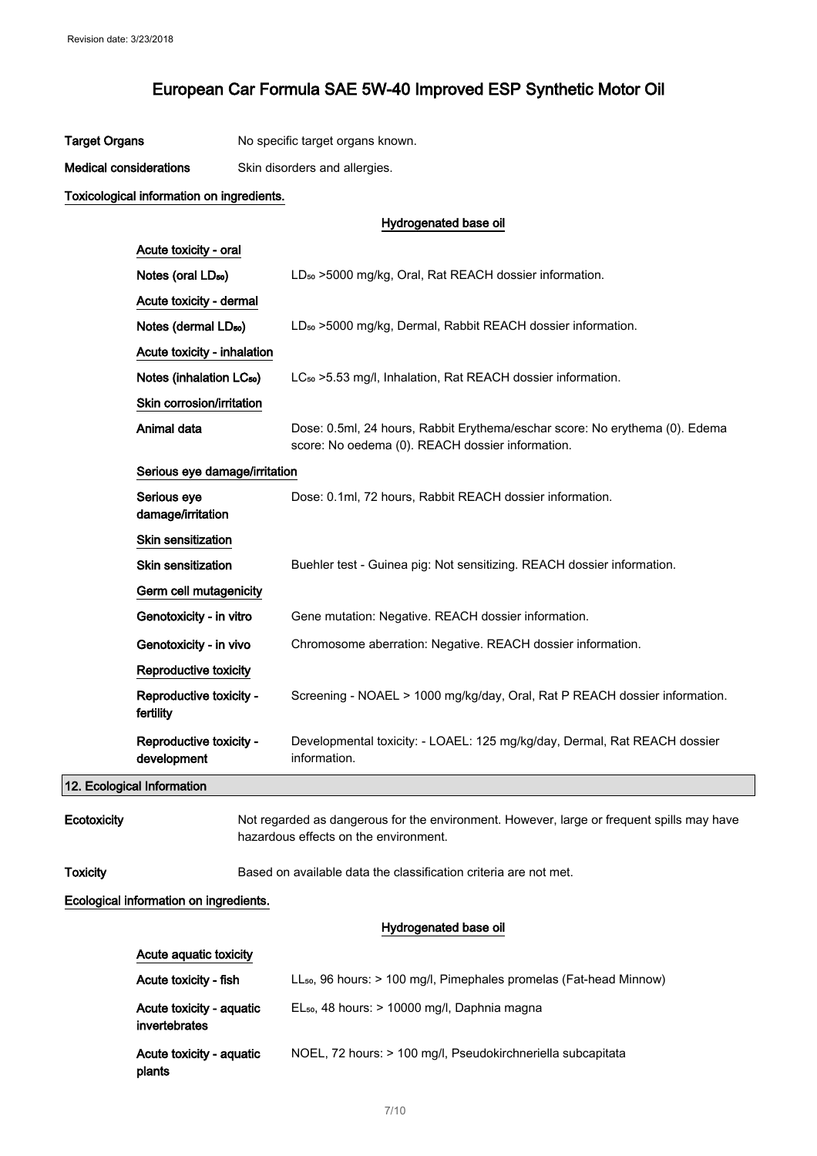| Target Organs<br>No specific target organs known. |  |
|---------------------------------------------------|--|
|---------------------------------------------------|--|

Medical considerations Skin disorders and allergies.

#### Toxicological information on ingredients.

#### Hydrogenated base oil

| Acute toxicity - oral                  |                                                                                                                                 |
|----------------------------------------|---------------------------------------------------------------------------------------------------------------------------------|
| Notes (oral LD <sub>50</sub> )         | LD <sub>50</sub> > 5000 mg/kg, Oral, Rat REACH dossier information.                                                             |
| Acute toxicity - dermal                |                                                                                                                                 |
| Notes (dermal LD <sub>50</sub> )       | LD <sub>50</sub> > 5000 mg/kg, Dermal, Rabbit REACH dossier information.                                                        |
| Acute toxicity - inhalation            |                                                                                                                                 |
| Notes (inhalation LC <sub>50</sub> )   | LC <sub>50</sub> > 5.53 mg/l, Inhalation, Rat REACH dossier information.                                                        |
| Skin corrosion/irritation              |                                                                                                                                 |
| Animal data                            | Dose: 0.5ml, 24 hours, Rabbit Erythema/eschar score: No erythema (0). Edema<br>score: No oedema (0). REACH dossier information. |
| Serious eye damage/irritation          |                                                                                                                                 |
| Serious eye<br>damage/irritation       | Dose: 0.1ml, 72 hours, Rabbit REACH dossier information.                                                                        |
| <b>Skin sensitization</b>              |                                                                                                                                 |
| Skin sensitization                     | Buehler test - Guinea pig: Not sensitizing. REACH dossier information.                                                          |
| Germ cell mutagenicity                 |                                                                                                                                 |
| Genotoxicity - in vitro                | Gene mutation: Negative. REACH dossier information.                                                                             |
| Genotoxicity - in vivo                 | Chromosome aberration: Negative. REACH dossier information.                                                                     |
| Reproductive toxicity                  |                                                                                                                                 |
| Reproductive toxicity -<br>fertility   | Screening - NOAEL > 1000 mg/kg/day, Oral, Rat P REACH dossier information.                                                      |
| Reproductive toxicity -<br>development | Developmental toxicity: - LOAEL: 125 mg/kg/day, Dermal, Rat REACH dossier<br>information.                                       |
| nical Information.                     |                                                                                                                                 |

12. Ecological Information

Ecotoxicity Not regarded as dangerous for the environment. However, large or frequent spills may have hazardous effects on the environment.

Toxicity Based on available data the classification criteria are not met.

#### Ecological information on ingredients.

Acute aquatic toxicity

#### Hydrogenated base oil

| Acute toxicity - fish                     | $LL_{50}$ , 96 hours: $> 100$ mg/l, Pimephales promelas (Fat-head Minnow) |
|-------------------------------------------|---------------------------------------------------------------------------|
| Acute toxicity - aquatic<br>invertebrates | $EL_{50}$ , 48 hours: > 10000 mg/l, Daphnia magna                         |
| Acute toxicity - aquatic<br>plants        | NOEL, 72 hours: > 100 mg/l, Pseudokirchneriella subcapitata               |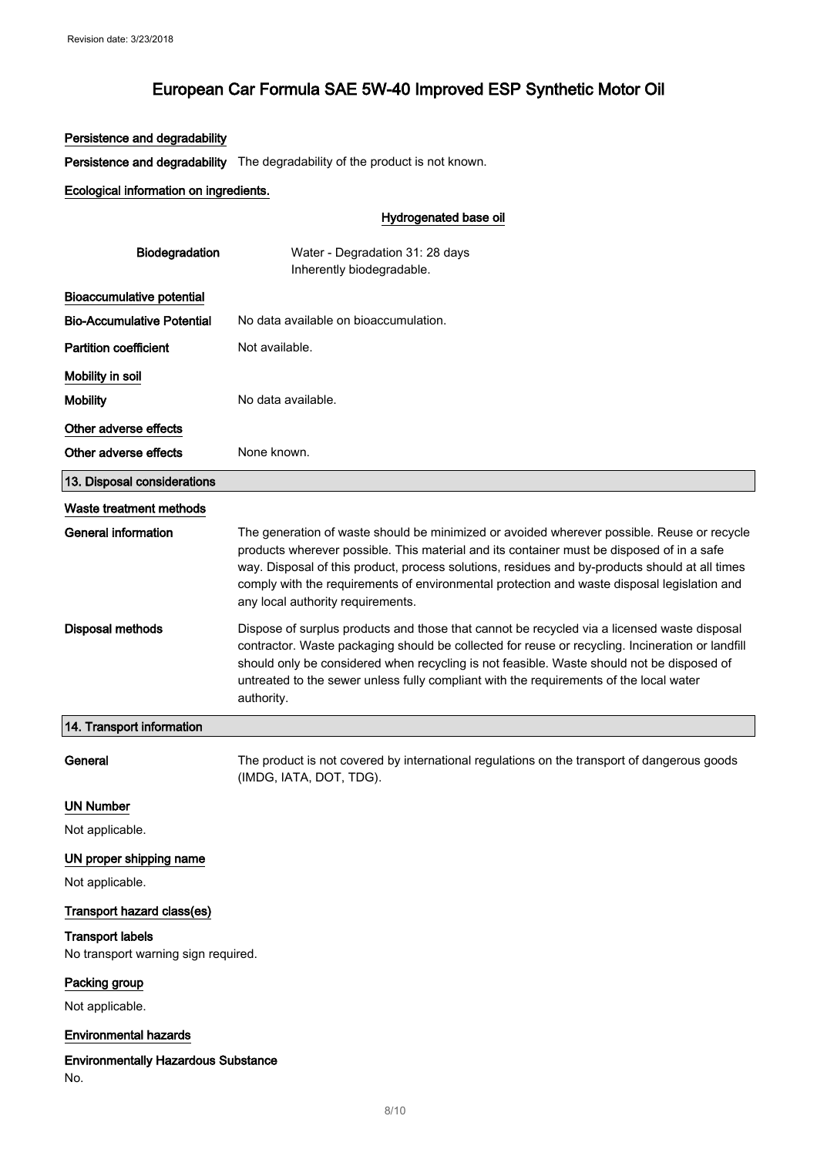#### Persistence and degradability

Persistence and degradability The degradability of the product is not known.

#### Ecological information on ingredients.

#### Hydrogenated base oil

| Biodegradation                             | Water - Degradation 31: 28 days<br>Inherently biodegradable.                                                                                                                                                                                                                                                                                                                                                                  |
|--------------------------------------------|-------------------------------------------------------------------------------------------------------------------------------------------------------------------------------------------------------------------------------------------------------------------------------------------------------------------------------------------------------------------------------------------------------------------------------|
| <b>Bioaccumulative potential</b>           |                                                                                                                                                                                                                                                                                                                                                                                                                               |
| <b>Bio-Accumulative Potential</b>          | No data available on bioaccumulation.                                                                                                                                                                                                                                                                                                                                                                                         |
| <b>Partition coefficient</b>               | Not available.                                                                                                                                                                                                                                                                                                                                                                                                                |
| Mobility in soil                           |                                                                                                                                                                                                                                                                                                                                                                                                                               |
| <b>Mobility</b>                            | No data available.                                                                                                                                                                                                                                                                                                                                                                                                            |
| Other adverse effects                      |                                                                                                                                                                                                                                                                                                                                                                                                                               |
| Other adverse effects                      | None known.                                                                                                                                                                                                                                                                                                                                                                                                                   |
| 13. Disposal considerations                |                                                                                                                                                                                                                                                                                                                                                                                                                               |
| Waste treatment methods                    |                                                                                                                                                                                                                                                                                                                                                                                                                               |
| General information                        | The generation of waste should be minimized or avoided wherever possible. Reuse or recycle<br>products wherever possible. This material and its container must be disposed of in a safe<br>way. Disposal of this product, process solutions, residues and by-products should at all times<br>comply with the requirements of environmental protection and waste disposal legislation and<br>any local authority requirements. |
| <b>Disposal methods</b>                    | Dispose of surplus products and those that cannot be recycled via a licensed waste disposal<br>contractor. Waste packaging should be collected for reuse or recycling. Incineration or landfill<br>should only be considered when recycling is not feasible. Waste should not be disposed of<br>untreated to the sewer unless fully compliant with the requirements of the local water<br>authority.                          |
| 14. Transport information                  |                                                                                                                                                                                                                                                                                                                                                                                                                               |
| General                                    | The product is not covered by international regulations on the transport of dangerous goods<br>(IMDG, IATA, DOT, TDG).                                                                                                                                                                                                                                                                                                        |
| <b>UN Number</b>                           |                                                                                                                                                                                                                                                                                                                                                                                                                               |
| Not applicable.                            |                                                                                                                                                                                                                                                                                                                                                                                                                               |
| UN proper shipping name<br>Not applicable. |                                                                                                                                                                                                                                                                                                                                                                                                                               |

### Transport hazard class(es)

#### Transport labels

No transport warning sign required.

### Packing group

Not applicable.

#### Environmental hazards

#### Environmentally Hazardous Substance

No.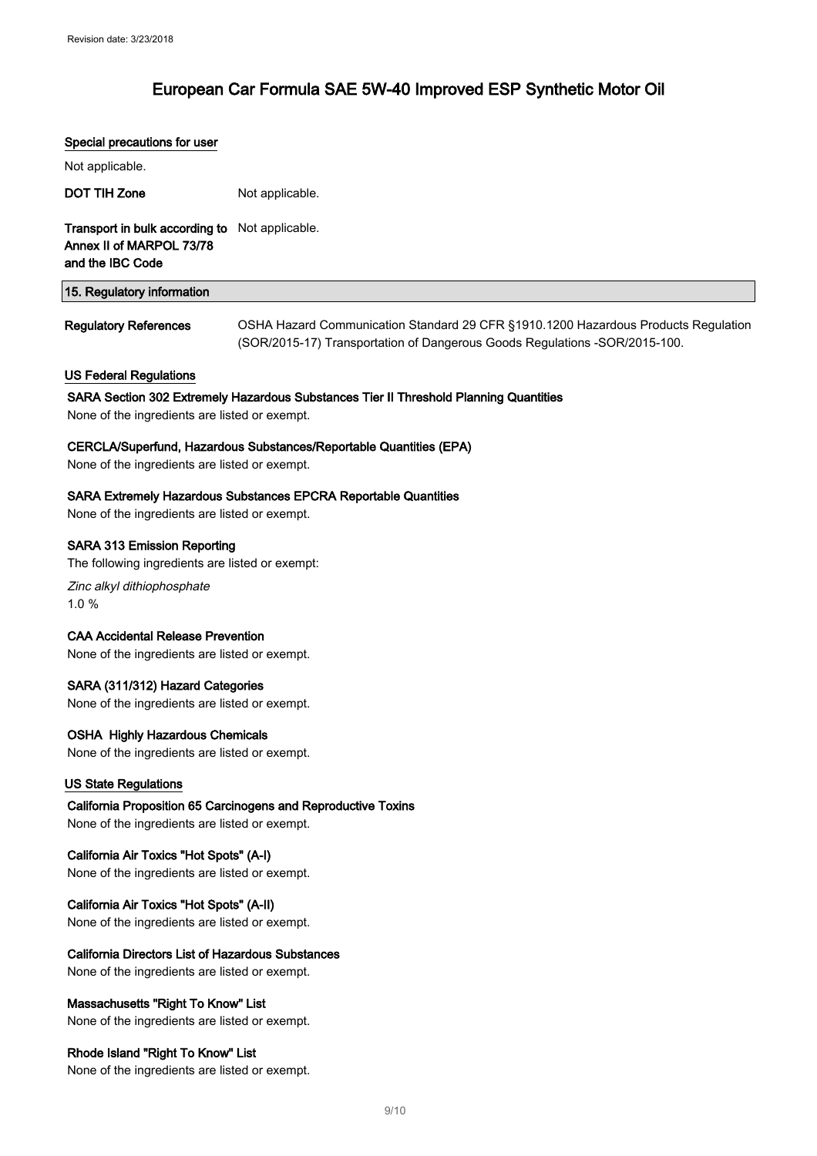#### Special precautions for user

| Not applicable.                                                                                           |                                                                                                                                                                  |
|-----------------------------------------------------------------------------------------------------------|------------------------------------------------------------------------------------------------------------------------------------------------------------------|
| <b>DOT TIH Zone</b>                                                                                       | Not applicable.                                                                                                                                                  |
| Transport in bulk according to<br>Annex II of MARPOL 73/78<br>and the IBC Code                            | Not applicable.                                                                                                                                                  |
| 15. Regulatory information                                                                                |                                                                                                                                                                  |
| <b>Regulatory References</b>                                                                              | OSHA Hazard Communication Standard 29 CFR §1910.1200 Hazardous Products Regulation<br>(SOR/2015-17) Transportation of Dangerous Goods Regulations -SOR/2015-100. |
| <b>US Federal Regulations</b>                                                                             | SARA Section 302 Extremely Hazardous Substances Tier II Threshold Planning Quantities                                                                            |
| None of the ingredients are listed or exempt.                                                             |                                                                                                                                                                  |
| None of the ingredients are listed or exempt.                                                             | CERCLA/Superfund, Hazardous Substances/Reportable Quantities (EPA)                                                                                               |
| None of the ingredients are listed or exempt.                                                             | <b>SARA Extremely Hazardous Substances EPCRA Reportable Quantities</b>                                                                                           |
| <b>SARA 313 Emission Reporting</b><br>The following ingredients are listed or exempt:                     |                                                                                                                                                                  |
| Zinc alkyl dithiophosphate<br>1.0%                                                                        |                                                                                                                                                                  |
| <b>CAA Accidental Release Prevention</b><br>None of the ingredients are listed or exempt.                 |                                                                                                                                                                  |
| SARA (311/312) Hazard Categories<br>None of the ingredients are listed or exempt.                         |                                                                                                                                                                  |
| <b>OSHA Highly Hazardous Chemicals</b><br>None of the ingredients are listed or exempt.                   |                                                                                                                                                                  |
| <b>US State Regulations</b>                                                                               |                                                                                                                                                                  |
| None of the ingredients are listed or exempt.                                                             | California Proposition 65 Carcinogens and Reproductive Toxins                                                                                                    |
| California Air Toxics "Hot Spots" (A-I)<br>None of the ingredients are listed or exempt.                  |                                                                                                                                                                  |
| California Air Toxics "Hot Spots" (A-II)<br>None of the ingredients are listed or exempt.                 |                                                                                                                                                                  |
| <b>California Directors List of Hazardous Substances</b><br>None of the ingredients are listed or exempt. |                                                                                                                                                                  |
| Massachusetts "Right To Know" List<br>None of the ingredients are listed or exempt.                       |                                                                                                                                                                  |
| Rhode Island "Right To Know" List<br>None of the ingredients are listed or exempt.                        |                                                                                                                                                                  |